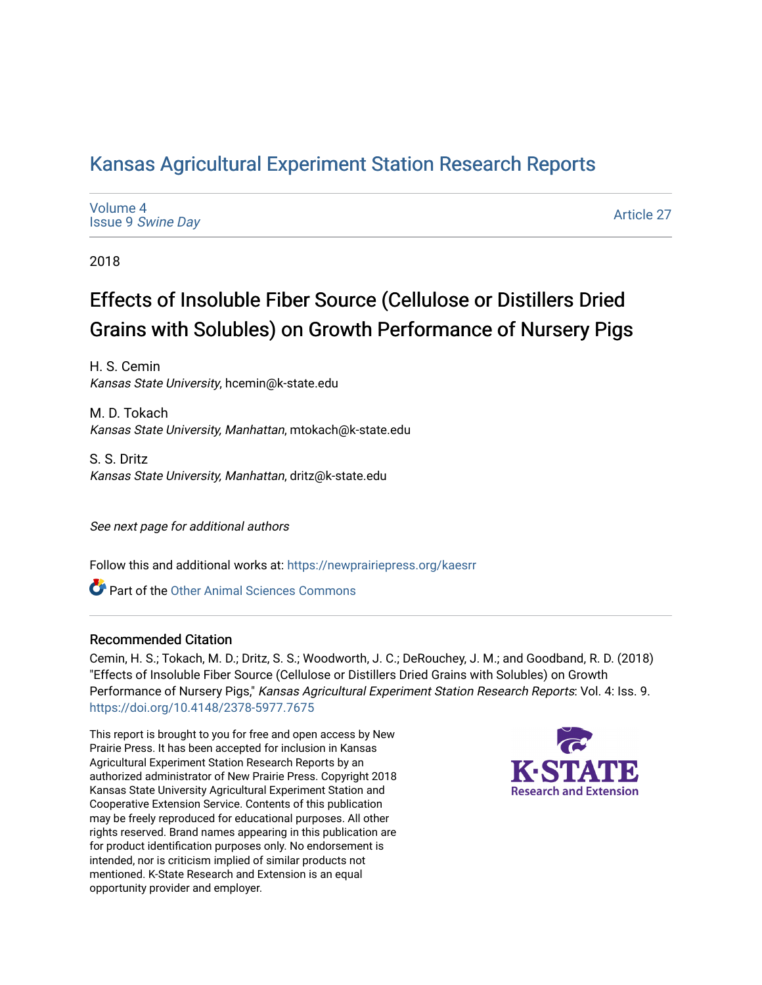## [Kansas Agricultural Experiment Station Research Reports](https://newprairiepress.org/kaesrr)

[Volume 4](https://newprairiepress.org/kaesrr/vol4) Issue 9 [Swine Day](https://newprairiepress.org/kaesrr/vol4/iss9)

[Article 27](https://newprairiepress.org/kaesrr/vol4/iss9/27) 

2018

# Effects of Insoluble Fiber Source (Cellulose or Distillers Dried Grains with Solubles) on Growth Performance of Nursery Pigs

H. S. Cemin Kansas State University, hcemin@k-state.edu

M. D. Tokach Kansas State University, Manhattan, mtokach@k-state.edu

S. S. Dritz Kansas State University, Manhattan, dritz@k-state.edu

See next page for additional authors

Follow this and additional works at: [https://newprairiepress.org/kaesrr](https://newprairiepress.org/kaesrr?utm_source=newprairiepress.org%2Fkaesrr%2Fvol4%2Fiss9%2F27&utm_medium=PDF&utm_campaign=PDFCoverPages) 

**C** Part of the [Other Animal Sciences Commons](http://network.bepress.com/hgg/discipline/82?utm_source=newprairiepress.org%2Fkaesrr%2Fvol4%2Fiss9%2F27&utm_medium=PDF&utm_campaign=PDFCoverPages)

#### Recommended Citation

Cemin, H. S.; Tokach, M. D.; Dritz, S. S.; Woodworth, J. C.; DeRouchey, J. M.; and Goodband, R. D. (2018) "Effects of Insoluble Fiber Source (Cellulose or Distillers Dried Grains with Solubles) on Growth Performance of Nursery Pigs," Kansas Agricultural Experiment Station Research Reports: Vol. 4: Iss. 9. <https://doi.org/10.4148/2378-5977.7675>

This report is brought to you for free and open access by New Prairie Press. It has been accepted for inclusion in Kansas Agricultural Experiment Station Research Reports by an authorized administrator of New Prairie Press. Copyright 2018 Kansas State University Agricultural Experiment Station and Cooperative Extension Service. Contents of this publication may be freely reproduced for educational purposes. All other rights reserved. Brand names appearing in this publication are for product identification purposes only. No endorsement is intended, nor is criticism implied of similar products not mentioned. K-State Research and Extension is an equal opportunity provider and employer.

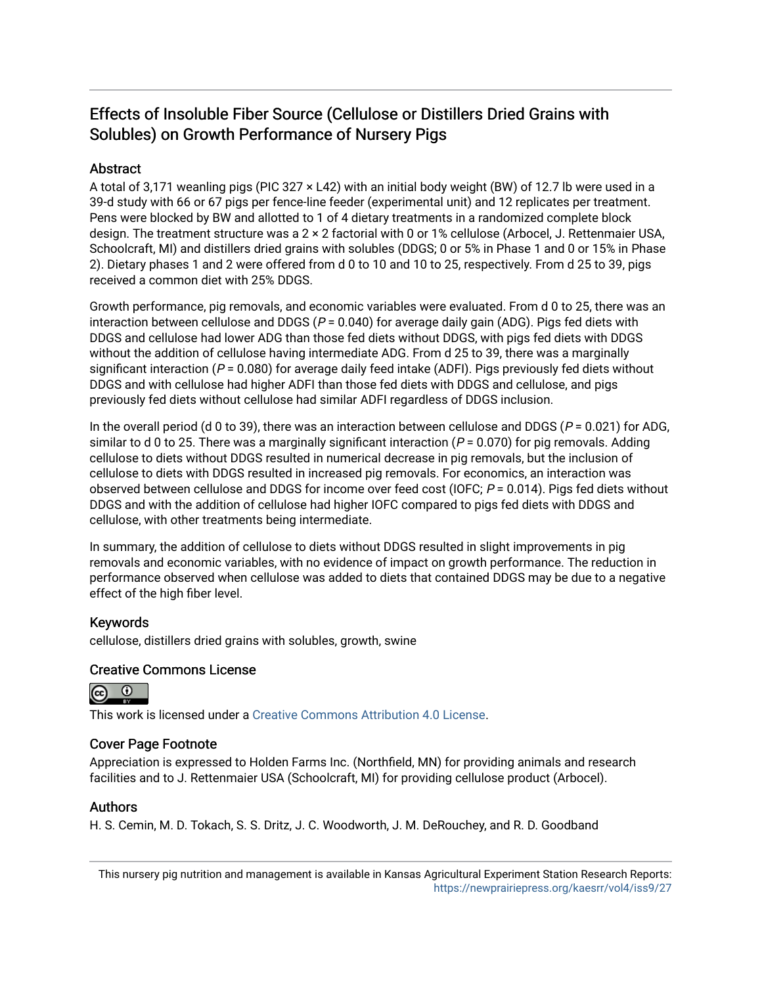## Effects of Insoluble Fiber Source (Cellulose or Distillers Dried Grains with Solubles) on Growth Performance of Nursery Pigs

#### **Abstract**

A total of 3,171 weanling pigs (PIC 327 × L42) with an initial body weight (BW) of 12.7 lb were used in a 39-d study with 66 or 67 pigs per fence-line feeder (experimental unit) and 12 replicates per treatment. Pens were blocked by BW and allotted to 1 of 4 dietary treatments in a randomized complete block design. The treatment structure was a 2 × 2 factorial with 0 or 1% cellulose (Arbocel, J. Rettenmaier USA, Schoolcraft, MI) and distillers dried grains with solubles (DDGS; 0 or 5% in Phase 1 and 0 or 15% in Phase 2). Dietary phases 1 and 2 were offered from d 0 to 10 and 10 to 25, respectively. From d 25 to 39, pigs received a common diet with 25% DDGS.

Growth performance, pig removals, and economic variables were evaluated. From d 0 to 25, there was an interaction between cellulose and DDGS ( $P = 0.040$ ) for average daily gain (ADG). Pigs fed diets with DDGS and cellulose had lower ADG than those fed diets without DDGS, with pigs fed diets with DDGS without the addition of cellulose having intermediate ADG. From d 25 to 39, there was a marginally significant interaction ( $P = 0.080$ ) for average daily feed intake (ADFI). Pigs previously fed diets without DDGS and with cellulose had higher ADFI than those fed diets with DDGS and cellulose, and pigs previously fed diets without cellulose had similar ADFI regardless of DDGS inclusion.

In the overall period (d 0 to 39), there was an interaction between cellulose and DDGS ( $P = 0.021$ ) for ADG, similar to d 0 to 25. There was a marginally significant interaction ( $P = 0.070$ ) for pig removals. Adding cellulose to diets without DDGS resulted in numerical decrease in pig removals, but the inclusion of cellulose to diets with DDGS resulted in increased pig removals. For economics, an interaction was observed between cellulose and DDGS for income over feed cost (IOFC;  $P = 0.014$ ). Pigs fed diets without DDGS and with the addition of cellulose had higher IOFC compared to pigs fed diets with DDGS and cellulose, with other treatments being intermediate.

In summary, the addition of cellulose to diets without DDGS resulted in slight improvements in pig removals and economic variables, with no evidence of impact on growth performance. The reduction in performance observed when cellulose was added to diets that contained DDGS may be due to a negative effect of the high fiber level.

#### Keywords

cellulose, distillers dried grains with solubles, growth, swine

#### Creative Commons License



This work is licensed under a [Creative Commons Attribution 4.0 License](https://creativecommons.org/licenses/by/4.0/).

#### Cover Page Footnote

Appreciation is expressed to Holden Farms Inc. (Northfield, MN) for providing animals and research facilities and to J. Rettenmaier USA (Schoolcraft, MI) for providing cellulose product (Arbocel).

#### Authors

H. S. Cemin, M. D. Tokach, S. S. Dritz, J. C. Woodworth, J. M. DeRouchey, and R. D. Goodband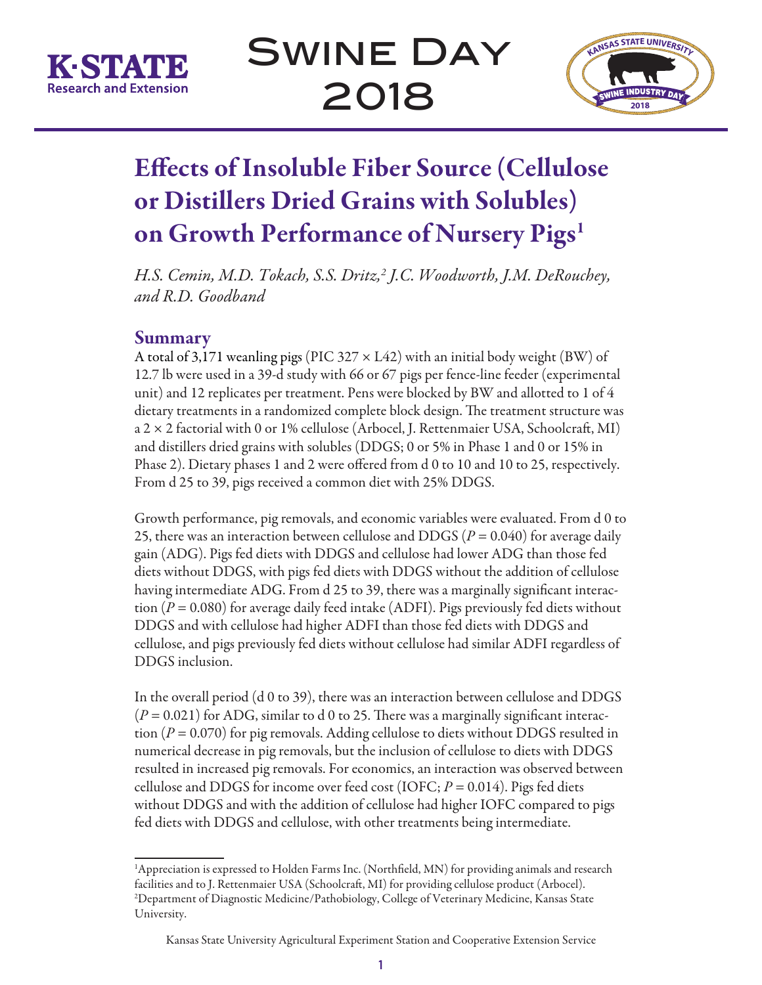



# Effects of Insoluble Fiber Source (Cellulose or Distillers Dried Grains with Solubles) on Growth Performance of Nursery Pigs<sup>1</sup>

*H.S. Cemin, M.D. Tokach, S.S. Dritz,2 J.C. Woodworth, J.M. DeRouchey, and R.D. Goodband*

## Summary

A total of 3,171 weanling pigs (PIC 327  $\times$  L42) with an initial body weight (BW) of 12.7 lb were used in a 39-d study with 66 or 67 pigs per fence-line feeder (experimental unit) and 12 replicates per treatment. Pens were blocked by BW and allotted to 1 of 4 dietary treatments in a randomized complete block design. The treatment structure was a 2 × 2 factorial with 0 or 1% cellulose (Arbocel, J. Rettenmaier USA, Schoolcraft, MI) and distillers dried grains with solubles (DDGS; 0 or 5% in Phase 1 and 0 or 15% in Phase 2). Dietary phases 1 and 2 were offered from d 0 to 10 and 10 to 25, respectively. From d 25 to 39, pigs received a common diet with 25% DDGS.

Growth performance, pig removals, and economic variables were evaluated. From d 0 to 25, there was an interaction between cellulose and DDGS  $(P = 0.040)$  for average daily gain (ADG). Pigs fed diets with DDGS and cellulose had lower ADG than those fed diets without DDGS, with pigs fed diets with DDGS without the addition of cellulose having intermediate ADG. From d 25 to 39, there was a marginally significant interaction (*P* = 0.080) for average daily feed intake (ADFI). Pigs previously fed diets without DDGS and with cellulose had higher ADFI than those fed diets with DDGS and cellulose, and pigs previously fed diets without cellulose had similar ADFI regardless of DDGS inclusion.

In the overall period (d 0 to 39), there was an interaction between cellulose and DDGS  $(P = 0.021)$  for ADG, similar to d 0 to 25. There was a marginally significant interaction (*P* = 0.070) for pig removals. Adding cellulose to diets without DDGS resulted in numerical decrease in pig removals, but the inclusion of cellulose to diets with DDGS resulted in increased pig removals. For economics, an interaction was observed between cellulose and DDGS for income over feed cost (IOFC; *P* = 0.014). Pigs fed diets without DDGS and with the addition of cellulose had higher IOFC compared to pigs fed diets with DDGS and cellulose, with other treatments being intermediate.

<sup>&</sup>lt;sup>1</sup>Appreciation is expressed to Holden Farms Inc. (Northfield, MN) for providing animals and research facilities and to J. Rettenmaier USA (Schoolcraft, MI) for providing cellulose product (Arbocel). 2 Department of Diagnostic Medicine/Pathobiology, College of Veterinary Medicine, Kansas State University.

Kansas State University Agricultural Experiment Station and Cooperative Extension Service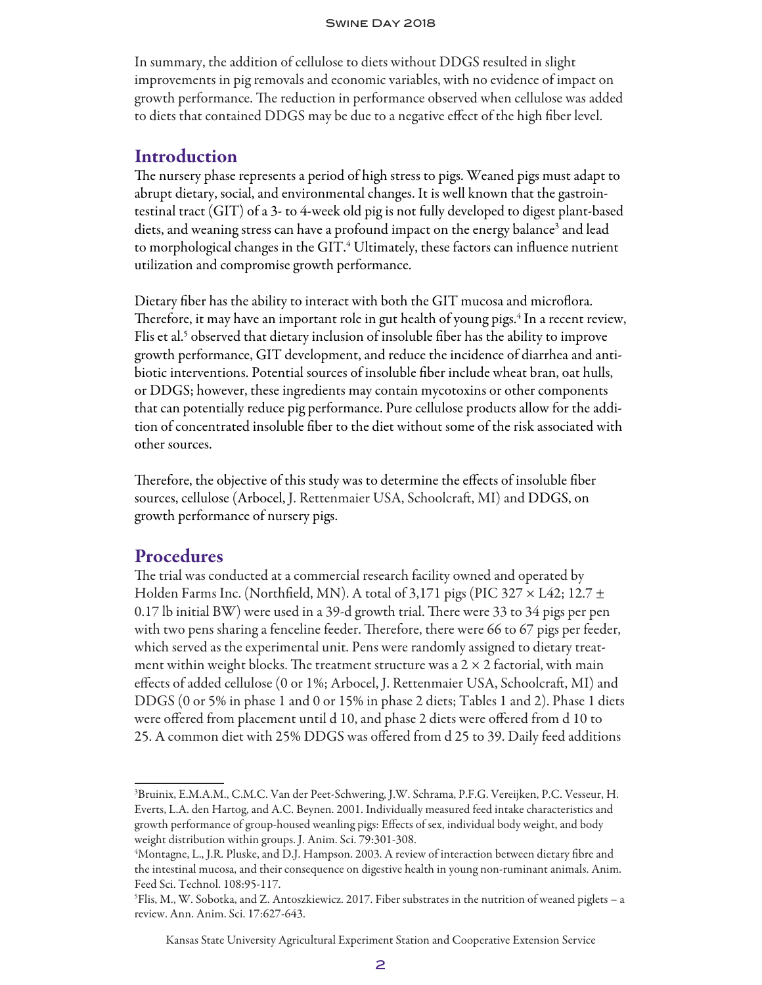In summary, the addition of cellulose to diets without DDGS resulted in slight improvements in pig removals and economic variables, with no evidence of impact on growth performance. The reduction in performance observed when cellulose was added to diets that contained DDGS may be due to a negative effect of the high fiber level.

## Introduction

The nursery phase represents a period of high stress to pigs. Weaned pigs must adapt to abrupt dietary, social, and environmental changes. It is well known that the gastrointestinal tract (GIT) of a 3- to 4-week old pig is not fully developed to digest plant-based diets, and weaning stress can have a profound impact on the energy balance<sup>3</sup> and lead to morphological changes in the GIT. $\pmb{^4}$  Ultimately, these factors can influence nutrient utilization and compromise growth performance.

Dietary fiber has the ability to interact with both the GIT mucosa and microflora. Therefore, it may have an important role in gut health of young pigs.<sup>4</sup> In a recent review, Flis et al.<sup>5</sup> observed that dietary inclusion of insoluble fiber has the ability to improve growth performance, GIT development, and reduce the incidence of diarrhea and antibiotic interventions. Potential sources of insoluble fiber include wheat bran, oat hulls, or DDGS; however, these ingredients may contain mycotoxins or other components that can potentially reduce pig performance. Pure cellulose products allow for the addition of concentrated insoluble fiber to the diet without some of the risk associated with other sources.

Therefore, the objective of this study was to determine the effects of insoluble fiber sources, cellulose (Arbocel, J. Rettenmaier USA, Schoolcraft, MI) and DDGS, on growth performance of nursery pigs.

#### Procedures

The trial was conducted at a commercial research facility owned and operated by Holden Farms Inc. (Northfield, MN). A total of 3,171 pigs (PIC 327  $\times$  L42; 12.7  $\pm$ 0.17 lb initial BW) were used in a 39-d growth trial. There were 33 to 34 pigs per pen with two pens sharing a fenceline feeder. Therefore, there were 66 to 67 pigs per feeder, which served as the experimental unit. Pens were randomly assigned to dietary treatment within weight blocks. The treatment structure was a  $2 \times 2$  factorial, with main effects of added cellulose (0 or 1%; Arbocel, J. Rettenmaier USA, Schoolcraft, MI) and DDGS (0 or 5% in phase 1 and 0 or 15% in phase 2 diets; Tables 1 and 2). Phase 1 diets were offered from placement until d 10, and phase 2 diets were offered from d 10 to 25. A common diet with 25% DDGS was offered from d 25 to 39. Daily feed additions

<sup>3</sup> Bruinix, E.M.A.M., C.M.C. Van der Peet-Schwering, J.W. Schrama, P.F.G. Vereijken, P.C. Vesseur, H. Everts, L.A. den Hartog, and A.C. Beynen. 2001. Individually measured feed intake characteristics and growth performance of group-housed weanling pigs: Effects of sex, individual body weight, and body weight distribution within groups. J. Anim. Sci. 79:301-308.

<sup>4</sup> Montagne, L., J.R. Pluske, and D.J. Hampson. 2003. A review of interaction between dietary fibre and the intestinal mucosa, and their consequence on digestive health in young non-ruminant animals. Anim. Feed Sci. Technol. 108:95-117.

<sup>5</sup> Flis, M., W. Sobotka, and Z. Antoszkiewicz. 2017. Fiber substrates in the nutrition of weaned piglets – a review. Ann. Anim. Sci. 17:627-643.

Kansas State University Agricultural Experiment Station and Cooperative Extension Service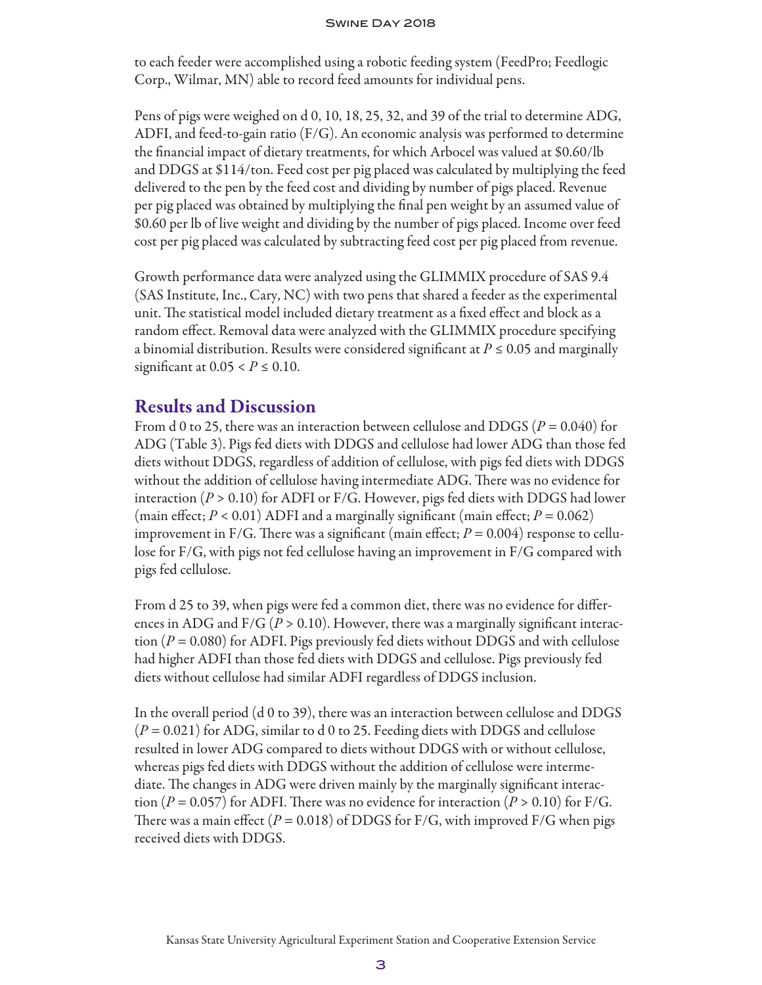to each feeder were accomplished using a robotic feeding system (FeedPro; Feedlogic Corp., Wilmar, MN) able to record feed amounts for individual pens.

Pens of pigs were weighed on d 0, 10, 18, 25, 32, and 39 of the trial to determine ADG, ADFI, and feed-to-gain ratio (F/G). An economic analysis was performed to determine the financial impact of dietary treatments, for which Arbocel was valued at \$0.60/lb and DDGS at \$114/ton. Feed cost per pig placed was calculated by multiplying the feed delivered to the pen by the feed cost and dividing by number of pigs placed. Revenue per pig placed was obtained by multiplying the final pen weight by an assumed value of \$0.60 per lb of live weight and dividing by the number of pigs placed. Income over feed cost per pig placed was calculated by subtracting feed cost per pig placed from revenue.

Growth performance data were analyzed using the GLIMMIX procedure of SAS 9.4 (SAS Institute, Inc., Cary, NC) with two pens that shared a feeder as the experimental unit. The statistical model included dietary treatment as a fixed effect and block as a random effect. Removal data were analyzed with the GLIMMIX procedure specifying a binomial distribution. Results were considered significant at  $P \leq 0.05$  and marginally significant at  $0.05 < P \leq 0.10$ .

## Results and Discussion

From d 0 to 25, there was an interaction between cellulose and DDGS (*P* = 0.040) for ADG (Table 3). Pigs fed diets with DDGS and cellulose had lower ADG than those fed diets without DDGS, regardless of addition of cellulose, with pigs fed diets with DDGS without the addition of cellulose having intermediate ADG. There was no evidence for interaction (*P* > 0.10) for ADFI or F/G. However, pigs fed diets with DDGS had lower (main effect;  $P < 0.01$ ) ADFI and a marginally significant (main effect;  $P = 0.062$ ) improvement in F/G. There was a significant (main effect;  $P = 0.004$ ) response to cellulose for F/G, with pigs not fed cellulose having an improvement in F/G compared with pigs fed cellulose.

From d 25 to 39, when pigs were fed a common diet, there was no evidence for differences in ADG and  $F/G (P > 0.10)$ . However, there was a marginally significant interaction (*P* = 0.080) for ADFI. Pigs previously fed diets without DDGS and with cellulose had higher ADFI than those fed diets with DDGS and cellulose. Pigs previously fed diets without cellulose had similar ADFI regardless of DDGS inclusion.

In the overall period (d 0 to 39), there was an interaction between cellulose and DDGS (*P* = 0.021) for ADG, similar to d 0 to 25. Feeding diets with DDGS and cellulose resulted in lower ADG compared to diets without DDGS with or without cellulose, whereas pigs fed diets with DDGS without the addition of cellulose were intermediate. The changes in ADG were driven mainly by the marginally significant interaction  $(P = 0.057)$  for ADFI. There was no evidence for interaction  $(P > 0.10)$  for F/G. There was a main effect ( $P = 0.018$ ) of DDGS for F/G, with improved F/G when pigs received diets with DDGS.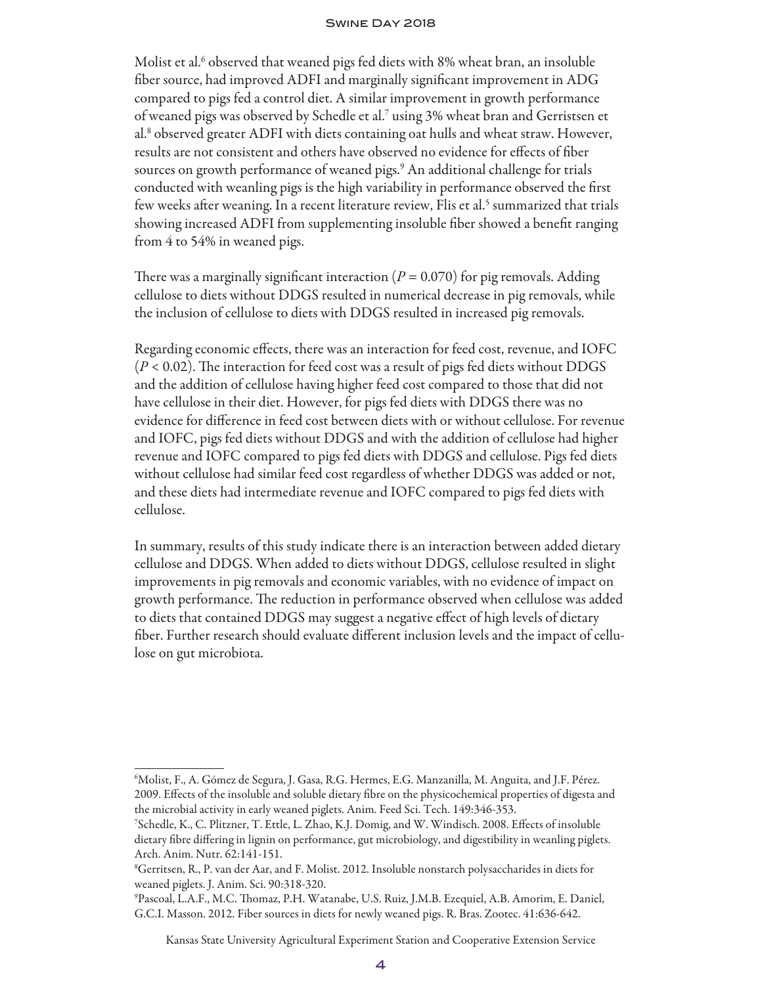Molist et al.<sup>6</sup> observed that weaned pigs fed diets with 8% wheat bran, an insoluble fiber source, had improved ADFI and marginally significant improvement in ADG compared to pigs fed a control diet. A similar improvement in growth performance of weaned pigs was observed by Schedle et al.7 using 3% wheat bran and Gerristsen et al.<sup>8</sup> observed greater ADFI with diets containing oat hulls and wheat straw. However, results are not consistent and others have observed no evidence for effects of fiber sources on growth performance of weaned pigs.9 An additional challenge for trials conducted with weanling pigs is the high variability in performance observed the first few weeks after weaning. In a recent literature review, Flis et al.<sup>5</sup> summarized that trials showing increased ADFI from supplementing insoluble fiber showed a benefit ranging from 4 to 54% in weaned pigs.

There was a marginally significant interaction  $(P = 0.070)$  for pig removals. Adding cellulose to diets without DDGS resulted in numerical decrease in pig removals, while the inclusion of cellulose to diets with DDGS resulted in increased pig removals.

Regarding economic effects, there was an interaction for feed cost, revenue, and IOFC  $(P < 0.02)$ . The interaction for feed cost was a result of pigs fed diets without DDGS and the addition of cellulose having higher feed cost compared to those that did not have cellulose in their diet. However, for pigs fed diets with DDGS there was no evidence for difference in feed cost between diets with or without cellulose. For revenue and IOFC, pigs fed diets without DDGS and with the addition of cellulose had higher revenue and IOFC compared to pigs fed diets with DDGS and cellulose. Pigs fed diets without cellulose had similar feed cost regardless of whether DDGS was added or not, and these diets had intermediate revenue and IOFC compared to pigs fed diets with cellulose.

In summary, results of this study indicate there is an interaction between added dietary cellulose and DDGS. When added to diets without DDGS, cellulose resulted in slight improvements in pig removals and economic variables, with no evidence of impact on growth performance. The reduction in performance observed when cellulose was added to diets that contained DDGS may suggest a negative effect of high levels of dietary fiber. Further research should evaluate different inclusion levels and the impact of cellulose on gut microbiota.

Kansas State University Agricultural Experiment Station and Cooperative Extension Service

<sup>6</sup> Molist, F., A. Gómez de Segura, J. Gasa, R.G. Hermes, E.G. Manzanilla, M. Anguita, and J.F. Pérez. 2009. Effects of the insoluble and soluble dietary fibre on the physicochemical properties of digesta and the microbial activity in early weaned piglets. Anim. Feed Sci. Tech. 149:346-353.

<sup>7</sup> Schedle, K., C. Plitzner, T. Ettle, L. Zhao, K.J. Domig, and W. Windisch. 2008. Effects of insoluble dietary fibre differing in lignin on performance, gut microbiology, and digestibility in weanling piglets. Arch. Anim. Nutr. 62:141-151.

<sup>8</sup> Gerritsen, R., P. van der Aar, and F. Molist. 2012. Insoluble nonstarch polysaccharides in diets for weaned piglets. J. Anim. Sci. 90:318-320.

<sup>9</sup> Pascoal, L.A.F., M.C. Thomaz, P.H. Watanabe, U.S. Ruiz, J.M.B. Ezequiel, A.B. Amorim, E. Daniel, G.C.I. Masson. 2012. Fiber sources in diets for newly weaned pigs. R. Bras. Zootec. 41:636-642.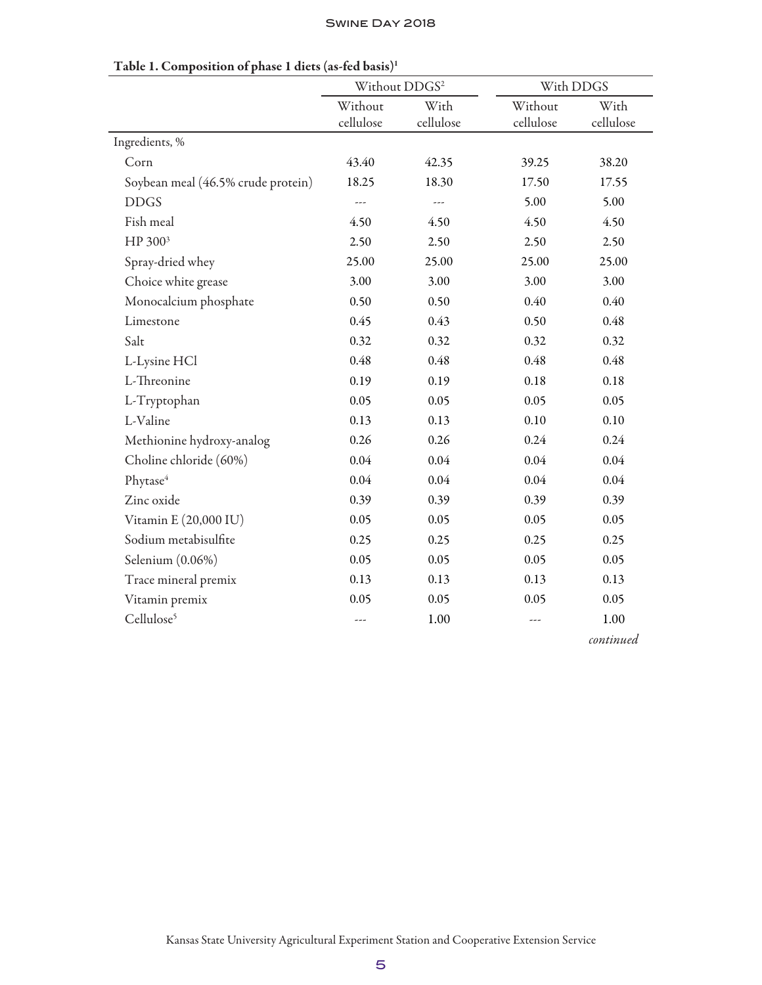|                                    | Without DDGS <sup>2</sup> |              | With DDGS |           |  |
|------------------------------------|---------------------------|--------------|-----------|-----------|--|
|                                    | Without<br>With           |              | Without   | With      |  |
|                                    | cellulose                 | cellulose    | cellulose | cellulose |  |
| Ingredients, %                     |                           |              |           |           |  |
| Corn                               | 43.40                     | 42.35        | 39.25     | 38.20     |  |
| Soybean meal (46.5% crude protein) | 18.25                     | 18.30        | 17.50     | 17.55     |  |
| <b>DDGS</b>                        | ---                       | $---$        | 5.00      | 5.00      |  |
| Fish meal                          | 4.50                      | 4.50         | 4.50      | 4.50      |  |
| HP 300 <sup>3</sup>                | 2.50                      | 2.50<br>2.50 |           | 2.50      |  |
| Spray-dried whey                   | 25.00                     | 25.00        | 25.00     | 25.00     |  |
| Choice white grease                | 3.00                      | 3.00         | 3.00      | 3.00      |  |
| Monocalcium phosphate              | 0.50<br>0.50              |              | 0.40      | 0.40      |  |
| Limestone                          | 0.45                      | 0.43         | 0.50      | 0.48      |  |
| Salt                               | 0.32                      | 0.32         | 0.32      | 0.32      |  |
| L-Lysine HCl                       | 0.48                      | 0.48         | 0.48      | 0.48      |  |
| L-Threonine                        | 0.19<br>0.19              |              | 0.18      | 0.18      |  |
| L-Tryptophan                       | 0.05                      | 0.05         | 0.05      | 0.05      |  |
| L-Valine                           | 0.13                      | 0.13         | 0.10      | 0.10      |  |
| Methionine hydroxy-analog          | 0.26                      | 0.26         | 0.24      | 0.24      |  |
| Choline chloride (60%)             | 0.04                      | 0.04         | 0.04      | $0.04\,$  |  |
| Phytase <sup>4</sup>               | 0.04                      | 0.04         | 0.04      | 0.04      |  |
| Zinc oxide                         | 0.39                      | 0.39         | 0.39      | 0.39      |  |
| Vitamin E (20,000 IU)              | 0.05                      | 0.05         | 0.05      | 0.05      |  |
| Sodium metabisulfite               | 0.25                      | 0.25         | 0.25      | 0.25      |  |
| Selenium (0.06%)                   | 0.05                      | 0.05         | 0.05      | 0.05      |  |
| Trace mineral premix               | 0.13                      | 0.13         | 0.13      | 0.13      |  |
| Vitamin premix                     | 0.05                      | 0.05         | 0.05      | 0.05      |  |
| Cellulose <sup>5</sup>             | ---                       | 1.00         | ---       | 1.00      |  |
|                                    |                           |              |           | continued |  |

#### Table 1. Composition of phase 1 diets (as-fed basis)1

Kansas State University Agricultural Experiment Station and Cooperative Extension Service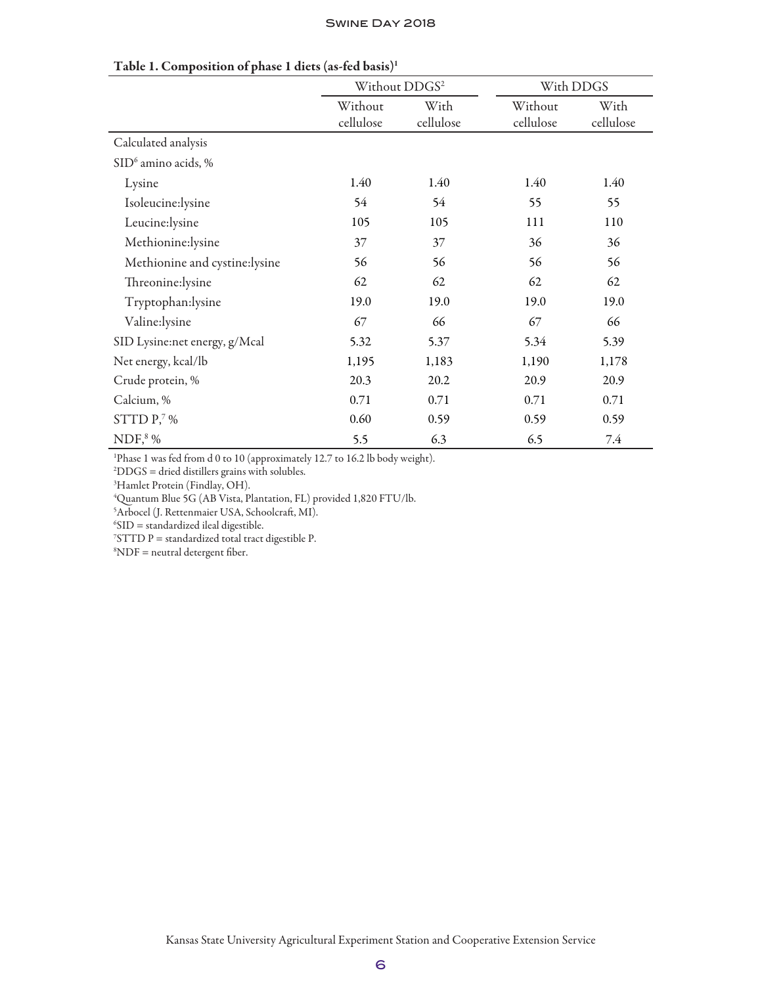|                                 | Without DDGS <sup>2</sup> |                   | With DDGS            |                   |  |
|---------------------------------|---------------------------|-------------------|----------------------|-------------------|--|
|                                 | Without<br>cellulose      | With<br>cellulose | Without<br>cellulose | With<br>cellulose |  |
| Calculated analysis             |                           |                   |                      |                   |  |
| SID <sup>6</sup> amino acids, % |                           |                   |                      |                   |  |
| Lysine                          | 1.40                      | 1.40              |                      | 1.40              |  |
| Isoleucine:lysine               | 54                        | 54                | 55                   | 55                |  |
| Leucine:lysine                  | 105                       | 105               | 111                  | 110               |  |
| Methionine:lysine               | 37                        | 37                | 36                   | 36                |  |
| Methionine and cystine:lysine   | 56                        | 56                | 56                   | 56                |  |
| Threonine:lysine                | 62                        | 62                | 62                   | 62                |  |
| Tryptophan:lysine               | 19.0                      | 19.0              | 19.0                 | 19.0              |  |
| Valine:lysine                   | 67                        | 66                | 67                   | 66                |  |
| SID Lysine:net energy, g/Mcal   | 5.32                      | 5.37              | 5.34                 | 5.39              |  |
| Net energy, kcal/lb             | 1,195                     | 1,183             | 1,190                | 1,178             |  |
| Crude protein, %                | 20.3                      | 20.2              | 20.9                 | 20.9              |  |
| Calcium, %                      | 0.71                      | 0.71              | 0.71                 | 0.71              |  |
| STTD $P$ , $\%$                 | 0.60                      | 0.59              | 0.59                 | 0.59              |  |
| $NDF8$ %                        | 5.5                       | 6.3               | 6.5                  | 7.4               |  |

#### Table 1. Composition of phase 1 diets (as-fed basis)1

<sup>1</sup>Phase 1 was fed from d 0 to 10 (approximately 12.7 to 16.2 lb body weight).

2 DDGS = dried distillers grains with solubles.

3 Hamlet Protein (Findlay, OH).

4 Quantum Blue 5G (AB Vista, Plantation, FL) provided 1,820 FTU/lb.

5 Arbocel (J. Rettenmaier USA, Schoolcraft, MI).

 ${}^{6}$ SID = standardized ileal digestible.

 $75 \text{T} \text{T} \text{D} \text{P} = \text{standardized total tract digesible P}.$ 

 ${}^8$ NDF = neutral detergent fiber.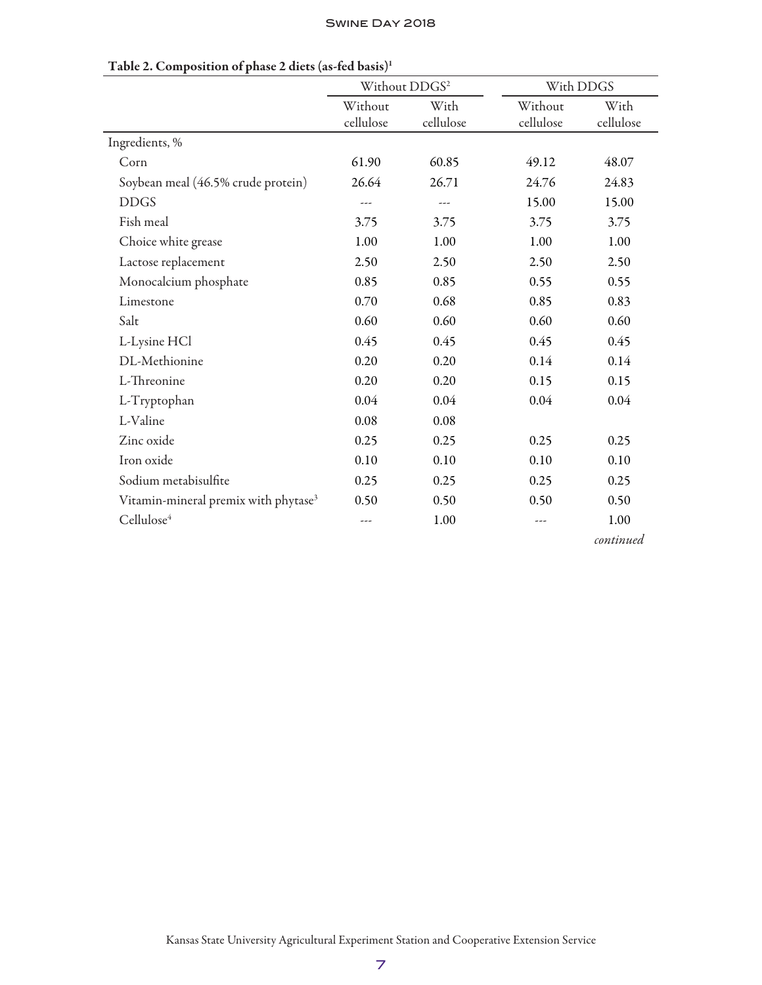|                                                  | Without DDGS <sup>2</sup> |           | With DDGS |           |  |
|--------------------------------------------------|---------------------------|-----------|-----------|-----------|--|
|                                                  | Without                   | With      | Without   | With      |  |
|                                                  | cellulose                 | cellulose | cellulose | cellulose |  |
| Ingredients, %                                   |                           |           |           |           |  |
| Corn                                             | 61.90                     | 60.85     | 49.12     | 48.07     |  |
| Soybean meal (46.5% crude protein)               | 26.64                     | 26.71     | 24.76     | 24.83     |  |
| <b>DDGS</b>                                      | ---                       | ---       | 15.00     | 15.00     |  |
| Fish meal                                        | 3.75                      | 3.75      | 3.75      | 3.75      |  |
| Choice white grease                              | 1.00                      | 1.00      | 1.00      | 1.00      |  |
| Lactose replacement                              | 2.50                      | 2.50      | 2.50      | 2.50      |  |
| Monocalcium phosphate                            | 0.85                      | 0.85      | 0.55      | 0.55      |  |
| Limestone                                        | 0.70                      | 0.68      | 0.85      | 0.83      |  |
| Salt                                             | 0.60                      | 0.60      | 0.60      | 0.60      |  |
| L-Lysine HCl                                     | 0.45                      | 0.45      | 0.45      | 0.45      |  |
| DL-Methionine                                    | 0.20                      | 0.20      | 0.14      | 0.14      |  |
| L-Threonine                                      | 0.20                      | 0.20      | 0.15      | 0.15      |  |
| L-Tryptophan                                     | 0.04                      | 0.04      | 0.04      | 0.04      |  |
| L-Valine                                         | 0.08                      | 0.08      |           |           |  |
| Zinc oxide                                       | 0.25                      | 0.25      | 0.25      | 0.25      |  |
| Iron oxide                                       | 0.10                      | 0.10      | 0.10      | 0.10      |  |
| Sodium metabisulfite                             | 0.25                      | 0.25      | 0.25      | 0.25      |  |
| Vitamin-mineral premix with phytase <sup>3</sup> | 0.50                      | 0.50      | 0.50      | 0.50      |  |
| Cellulose <sup>4</sup>                           | ---                       | 1.00      | ---       | 1.00      |  |

#### Table 2. Composition of phase 2 diets (as-fed basis)1

*continued*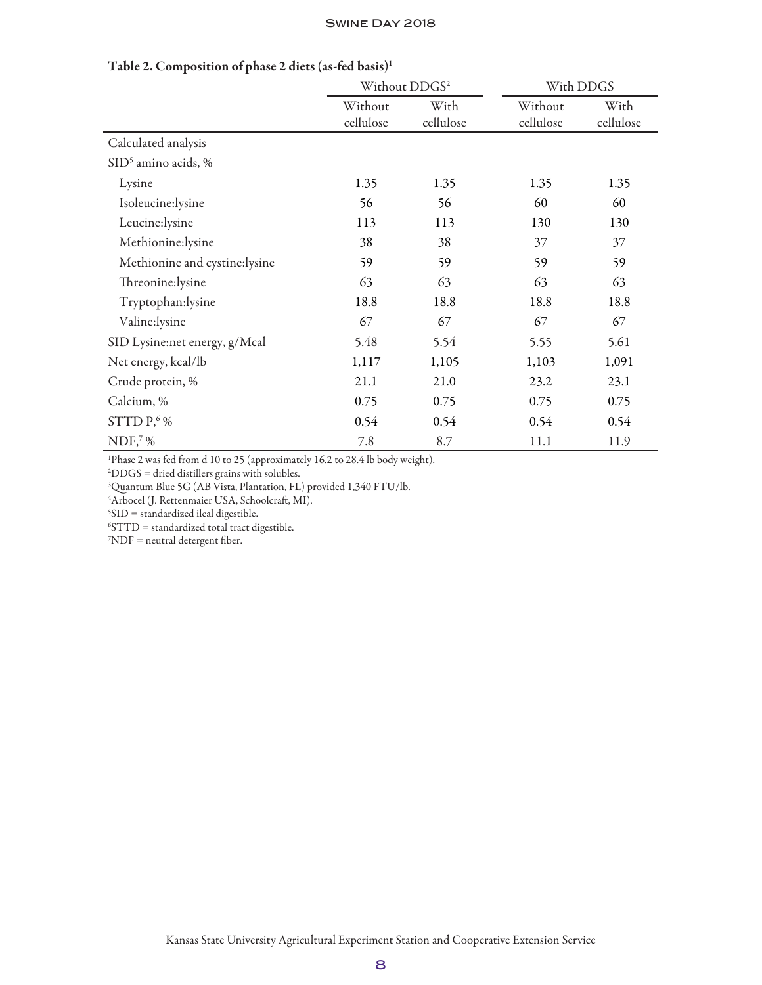|                               |                      | Without DDGS <sup>2</sup> | With DDGS            |                   |  |
|-------------------------------|----------------------|---------------------------|----------------------|-------------------|--|
|                               | Without<br>cellulose | With<br>cellulose         | Without<br>cellulose | With<br>cellulose |  |
| Calculated analysis           |                      |                           |                      |                   |  |
| $\text{SID}^5$ amino acids, % |                      |                           |                      |                   |  |
| Lysine                        | 1.35                 | 1.35                      | 1.35                 | 1.35              |  |
| Isoleucine:lysine             | 56                   | 56                        | 60                   | 60                |  |
| Leucine:lysine                | 113                  | 113                       | 130                  | 130               |  |
| Methionine:lysine             | 38                   | 38                        | 37                   | 37                |  |
| Methionine and cystine:lysine | 59                   | 59                        | 59                   | 59                |  |
| Threonine:lysine              | 63                   | 63                        | 63                   | 63                |  |
| Tryptophan:lysine             | 18.8                 | 18.8                      | 18.8                 | 18.8              |  |
| Valine:lysine                 | 67                   | 67                        | 67                   | 67                |  |
| SID Lysine:net energy, g/Mcal | 5.48                 | 5.54                      | 5.55                 | 5.61              |  |
| Net energy, kcal/lb           | 1,117                | 1,105                     | 1,103                | 1,091             |  |
| Crude protein, %              | 21.1                 | 21.0                      | 23.2                 | 23.1              |  |
| Calcium, %                    | 0.75                 | 0.75                      | 0.75                 | 0.75              |  |
| STTD P, 6%                    | 0.54                 | 0.54                      | 0.54                 | 0.54              |  |
| $NDF7$ %                      | 7.8                  | 8.7                       | 11.1                 | 11.9              |  |

## Table 2. Composition of phase 2 diets (as-fed basis)1

<sup>1</sup>Phase 2 was fed from d 10 to 25 (approximately 16.2 to 28.4 lb body weight).

2 DDGS = dried distillers grains with solubles.

3 Quantum Blue 5G (AB Vista, Plantation, FL) provided 1,340 FTU/lb.

4 Arbocel (J. Rettenmaier USA, Schoolcraft, MI).

 ${}^{5}SID =$  standardized ileal digestible.

 ${}^6$ STTD = standardized total tract digestible.

 $7NDF$  = neutral detergent fiber.